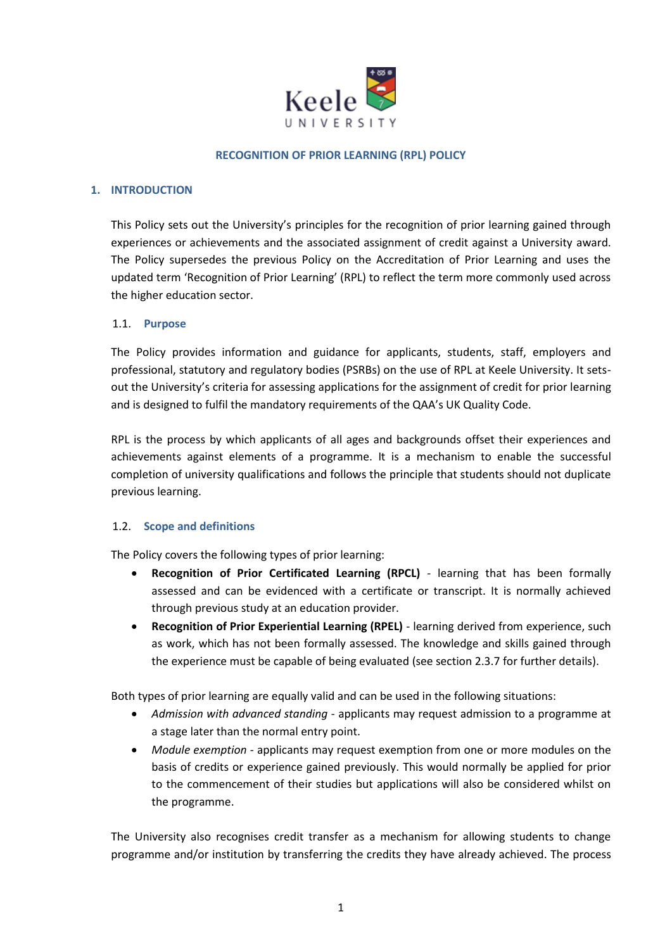

#### **RECOGNITION OF PRIOR LEARNING (RPL) POLICY**

#### **1. INTRODUCTION**

This Policy sets out the University's principles for the recognition of prior learning gained through experiences or achievements and the associated assignment of credit against a University award. The Policy supersedes the previous Policy on the Accreditation of Prior Learning and uses the updated term 'Recognition of Prior Learning' (RPL) to reflect the term more commonly used across the higher education sector.

#### 1.1. **Purpose**

The Policy provides information and guidance for applicants, students, staff, employers and professional, statutory and regulatory bodies (PSRBs) on the use of RPL at Keele University. It setsout the University's criteria for assessing applications for the assignment of credit for prior learning and is designed to fulfil the mandatory requirements of the QAA's UK Quality Code.

RPL is the process by which applicants of all ages and backgrounds offset their experiences and achievements against elements of a programme. It is a mechanism to enable the successful completion of university qualifications and follows the principle that students should not duplicate previous learning.

#### 1.2. **Scope and definitions**

The Policy covers the following types of prior learning:

- **Recognition of Prior Certificated Learning (RPCL)** learning that has been formally assessed and can be evidenced with a certificate or transcript. It is normally achieved through previous study at an education provider.
- **Recognition of Prior Experiential Learning (RPEL)** learning derived from experience, such as work, which has not been formally assessed. The knowledge and skills gained through the experience must be capable of being evaluated (see section 2.3.7 for further details).

Both types of prior learning are equally valid and can be used in the following situations:

- *Admission with advanced standing* applicants may request admission to a programme at a stage later than the normal entry point.
- *Module exemption* applicants may request exemption from one or more modules on the basis of credits or experience gained previously. This would normally be applied for prior to the commencement of their studies but applications will also be considered whilst on the programme.

The University also recognises credit transfer as a mechanism for allowing students to change programme and/or institution by transferring the credits they have already achieved. The process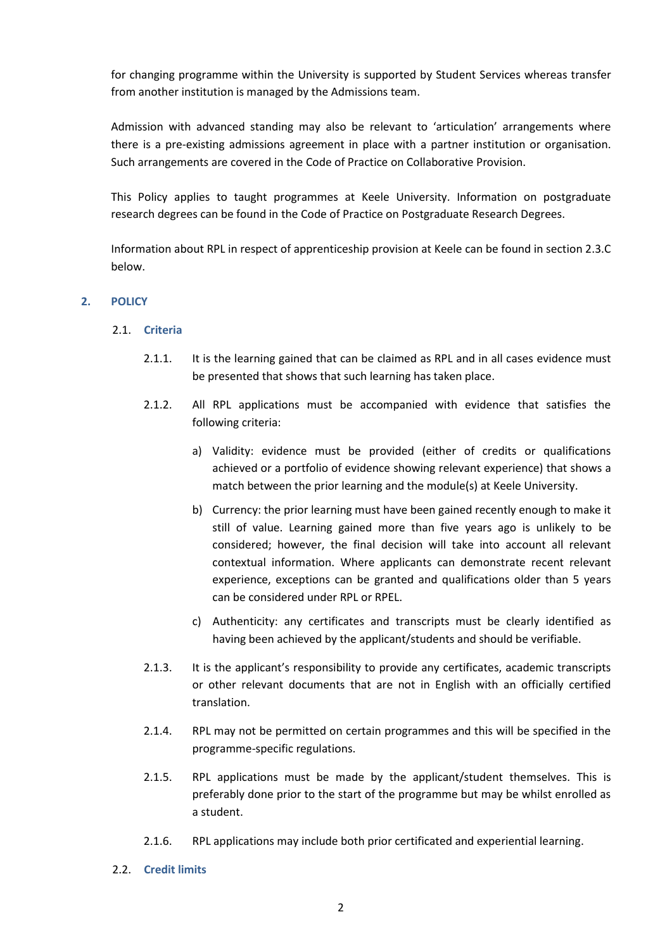for changing programme within the University is supported by Student Services whereas transfer from another institution is managed by the Admissions team.

Admission with advanced standing may also be relevant to 'articulation' arrangements where there is a pre-existing admissions agreement in place with a partner institution or organisation. Such arrangements are covered in the Code of Practice on Collaborative Provision.

This Policy applies to taught programmes at Keele University. Information on postgraduate research degrees can be found in the Code of Practice on Postgraduate Research Degrees.

Information about RPL in respect of apprenticeship provision at Keele can be found in section 2.3.C below.

## **2. POLICY**

#### 2.1. **Criteria**

- 2.1.1. It is the learning gained that can be claimed as RPL and in all cases evidence must be presented that shows that such learning has taken place.
- 2.1.2. All RPL applications must be accompanied with evidence that satisfies the following criteria:
	- a) Validity: evidence must be provided (either of credits or qualifications achieved or a portfolio of evidence showing relevant experience) that shows a match between the prior learning and the module(s) at Keele University.
	- b) Currency: the prior learning must have been gained recently enough to make it still of value. Learning gained more than five years ago is unlikely to be considered; however, the final decision will take into account all relevant contextual information. Where applicants can demonstrate recent relevant experience, exceptions can be granted and qualifications older than 5 years can be considered under RPL or RPEL.
	- c) Authenticity: any certificates and transcripts must be clearly identified as having been achieved by the applicant/students and should be verifiable.
- 2.1.3. It is the applicant's responsibility to provide any certificates, academic transcripts or other relevant documents that are not in English with an officially certified translation.
- 2.1.4. RPL may not be permitted on certain programmes and this will be specified in the programme-specific regulations.
- 2.1.5. RPL applications must be made by the applicant/student themselves. This is preferably done prior to the start of the programme but may be whilst enrolled as a student.
- 2.1.6. RPL applications may include both prior certificated and experiential learning.
- 2.2. **Credit limits**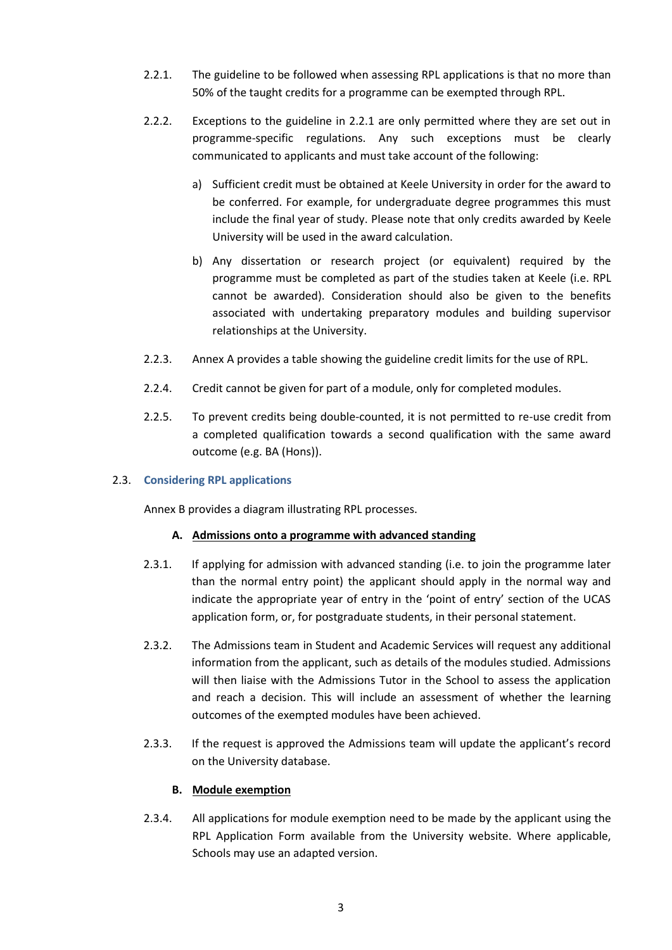- 2.2.1. The guideline to be followed when assessing RPL applications is that no more than 50% of the taught credits for a programme can be exempted through RPL.
- 2.2.2. Exceptions to the guideline in 2.2.1 are only permitted where they are set out in programme-specific regulations. Any such exceptions must be clearly communicated to applicants and must take account of the following:
	- a) Sufficient credit must be obtained at Keele University in order for the award to be conferred. For example, for undergraduate degree programmes this must include the final year of study. Please note that only credits awarded by Keele University will be used in the award calculation.
	- b) Any dissertation or research project (or equivalent) required by the programme must be completed as part of the studies taken at Keele (i.e. RPL cannot be awarded). Consideration should also be given to the benefits associated with undertaking preparatory modules and building supervisor relationships at the University.
- 2.2.3. Annex A provides a table showing the guideline credit limits for the use of RPL.
- 2.2.4. Credit cannot be given for part of a module, only for completed modules.
- 2.2.5. To prevent credits being double-counted, it is not permitted to re-use credit from a completed qualification towards a second qualification with the same award outcome (e.g. BA (Hons)).

#### 2.3. **Considering RPL applications**

Annex B provides a diagram illustrating RPL processes.

#### **A. Admissions onto a programme with advanced standing**

- 2.3.1. If applying for admission with advanced standing (i.e. to join the programme later than the normal entry point) the applicant should apply in the normal way and indicate the appropriate year of entry in the 'point of entry' section of the UCAS application form, or, for postgraduate students, in their personal statement.
- 2.3.2. The Admissions team in Student and Academic Services will request any additional information from the applicant, such as details of the modules studied. Admissions will then liaise with the Admissions Tutor in the School to assess the application and reach a decision. This will include an assessment of whether the learning outcomes of the exempted modules have been achieved.
- 2.3.3. If the request is approved the Admissions team will update the applicant's record on the University database.

## **B. Module exemption**

2.3.4. All applications for module exemption need to be made by the applicant using the RPL Application Form available from the University website. Where applicable, Schools may use an adapted version.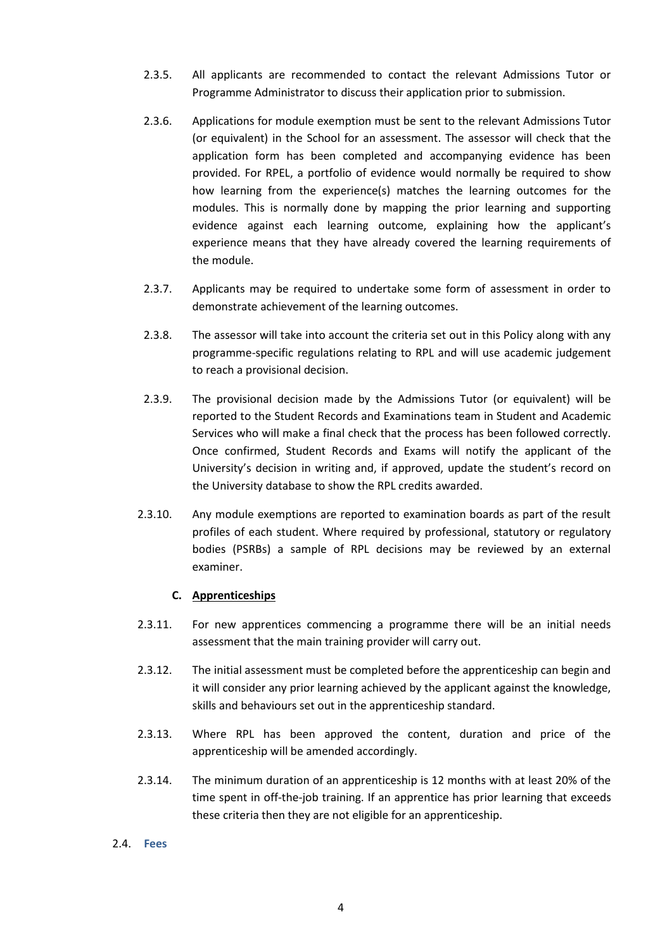- 2.3.5. All applicants are recommended to contact the relevant Admissions Tutor or Programme Administrator to discuss their application prior to submission.
- 2.3.6. Applications for module exemption must be sent to the relevant Admissions Tutor (or equivalent) in the School for an assessment. The assessor will check that the application form has been completed and accompanying evidence has been provided. For RPEL, a portfolio of evidence would normally be required to show how learning from the experience(s) matches the learning outcomes for the modules. This is normally done by mapping the prior learning and supporting evidence against each learning outcome, explaining how the applicant's experience means that they have already covered the learning requirements of the module.
- 2.3.7. Applicants may be required to undertake some form of assessment in order to demonstrate achievement of the learning outcomes.
- 2.3.8. The assessor will take into account the criteria set out in this Policy along with any programme-specific regulations relating to RPL and will use academic judgement to reach a provisional decision.
- 2.3.9. The provisional decision made by the Admissions Tutor (or equivalent) will be reported to the Student Records and Examinations team in Student and Academic Services who will make a final check that the process has been followed correctly. Once confirmed, Student Records and Exams will notify the applicant of the University's decision in writing and, if approved, update the student's record on the University database to show the RPL credits awarded.
- 2.3.10. Any module exemptions are reported to examination boards as part of the result profiles of each student. Where required by professional, statutory or regulatory bodies (PSRBs) a sample of RPL decisions may be reviewed by an external examiner.

#### **C. Apprenticeships**

- 2.3.11. For new apprentices commencing a programme there will be an initial needs assessment that the main training provider will carry out.
- 2.3.12. The initial assessment must be completed before the apprenticeship can begin and it will consider any prior learning achieved by the applicant against the knowledge, skills and behaviours set out in the apprenticeship standard.
- 2.3.13. Where RPL has been approved the content, duration and price of the apprenticeship will be amended accordingly.
- 2.3.14. The minimum duration of an apprenticeship is 12 months with at least 20% of the time spent in off-the-job training. If an apprentice has prior learning that exceeds these criteria then they are not eligible for an apprenticeship.

#### 2.4. **Fees**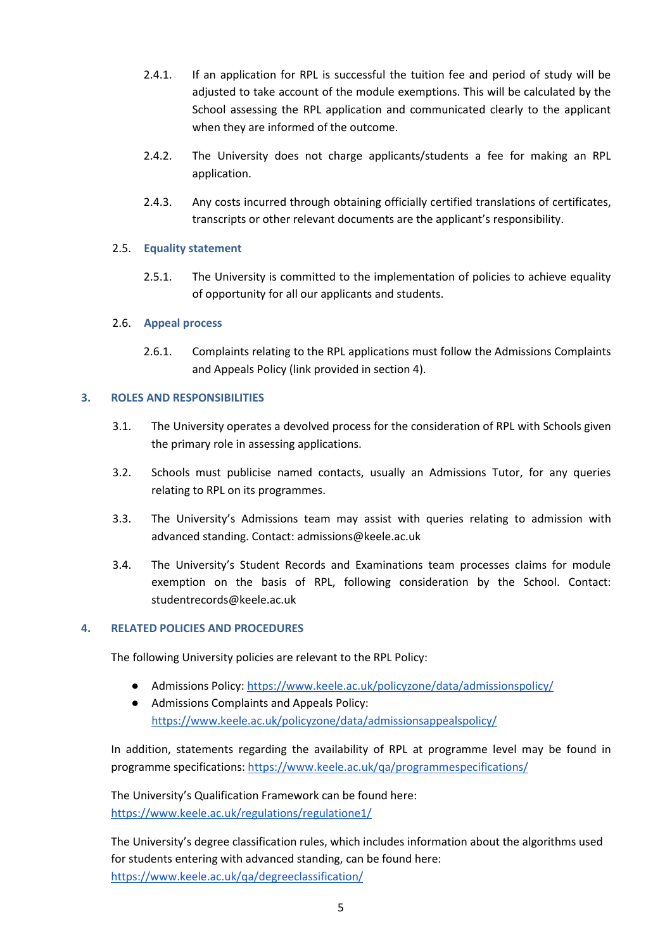- 2.4.1. If an application for RPL is successful the tuition fee and period of study will be adjusted to take account of the module exemptions. This will be calculated by the School assessing the RPL application and communicated clearly to the applicant when they are informed of the outcome.
- 2.4.2. The University does not charge applicants/students a fee for making an RPL application.
- 2.4.3. Any costs incurred through obtaining officially certified translations of certificates, transcripts or other relevant documents are the applicant's responsibility.

## 2.5. **Equality statement**

2.5.1. The University is committed to the implementation of policies to achieve equality of opportunity for all our applicants and students.

## 2.6. **Appeal process**

2.6.1. Complaints relating to the RPL applications must follow the Admissions Complaints and Appeals Policy (link provided in section 4).

## **3. ROLES AND RESPONSIBILITIES**

- 3.1. The University operates a devolved process for the consideration of RPL with Schools given the primary role in assessing applications.
- 3.2. Schools must publicise named contacts, usually an Admissions Tutor, for any queries relating to RPL on its programmes.
- 3.3. The University's Admissions team may assist with queries relating to admission with advanced standing. Contact: admissions@keele.ac.uk
- 3.4. The University's Student Records and Examinations team processes claims for module exemption on the basis of RPL, following consideration by the School. Contact: studentrecords@keele.ac.uk

## **4. RELATED POLICIES AND PROCEDURES**

The following University policies are relevant to the RPL Policy:

- Admissions Policy:<https://www.keele.ac.uk/policyzone/data/admissionspolicy/>
- Admissions Complaints and Appeals Policy: <https://www.keele.ac.uk/policyzone/data/admissionsappealspolicy/>

In addition, statements regarding the availability of RPL at programme level may be found in programme specifications[: https://www.keele.ac.uk/qa/programmespecifications/](https://www.keele.ac.uk/qa/programmespecifications/)

The University's Qualification Framework can be found here: <https://www.keele.ac.uk/regulations/regulatione1/>

The University's degree classification rules, which includes information about the algorithms used for students entering with advanced standing, can be found here: <https://www.keele.ac.uk/qa/degreeclassification/>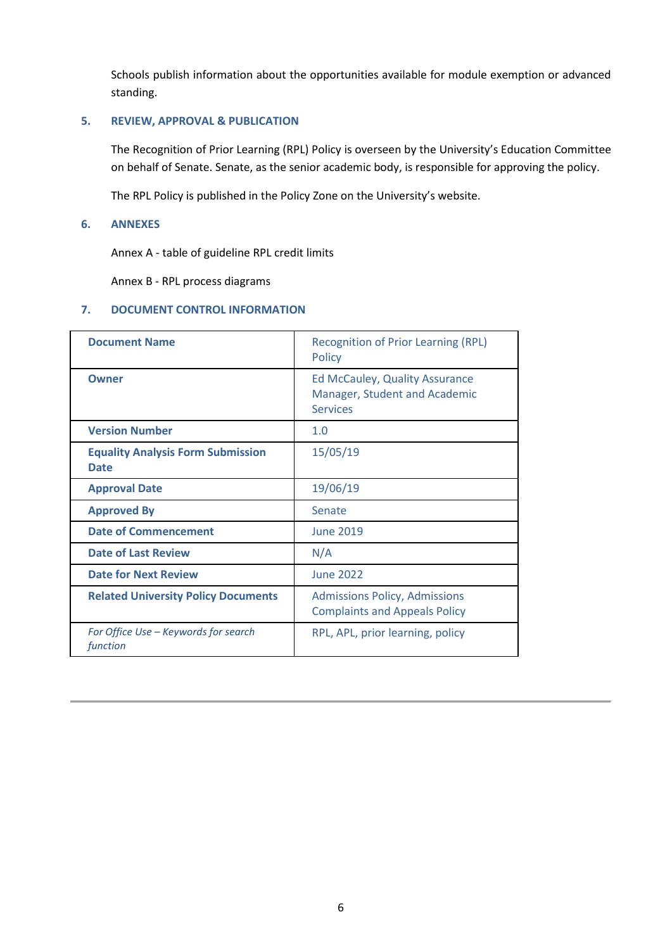Schools publish information about the opportunities available for module exemption or advanced standing.

#### **5. REVIEW, APPROVAL & PUBLICATION**

The Recognition of Prior Learning (RPL) Policy is overseen by the University's Education Committee on behalf of Senate. Senate, as the senior academic body, is responsible for approving the policy.

The RPL Policy is published in the Policy Zone on the University's website.

#### **6. ANNEXES**

Annex A - table of guideline RPL credit limits

Annex B - RPL process diagrams

## **7. DOCUMENT CONTROL INFORMATION**

| <b>Document Name</b>                                    | <b>Recognition of Prior Learning (RPL)</b><br><b>Policy</b>                               |  |  |
|---------------------------------------------------------|-------------------------------------------------------------------------------------------|--|--|
| Owner                                                   | <b>Ed McCauley, Quality Assurance</b><br>Manager, Student and Academic<br><b>Services</b> |  |  |
| <b>Version Number</b>                                   | 1.0                                                                                       |  |  |
| <b>Equality Analysis Form Submission</b><br><b>Date</b> | 15/05/19                                                                                  |  |  |
| <b>Approval Date</b>                                    | 19/06/19                                                                                  |  |  |
| <b>Approved By</b>                                      | Senate                                                                                    |  |  |
| <b>Date of Commencement</b>                             | <b>June 2019</b>                                                                          |  |  |
| <b>Date of Last Review</b>                              | N/A                                                                                       |  |  |
| <b>Date for Next Review</b>                             | <b>June 2022</b>                                                                          |  |  |
| <b>Related University Policy Documents</b>              | <b>Admissions Policy, Admissions</b><br><b>Complaints and Appeals Policy</b>              |  |  |
| For Office Use – Keywords for search<br>function        | RPL, APL, prior learning, policy                                                          |  |  |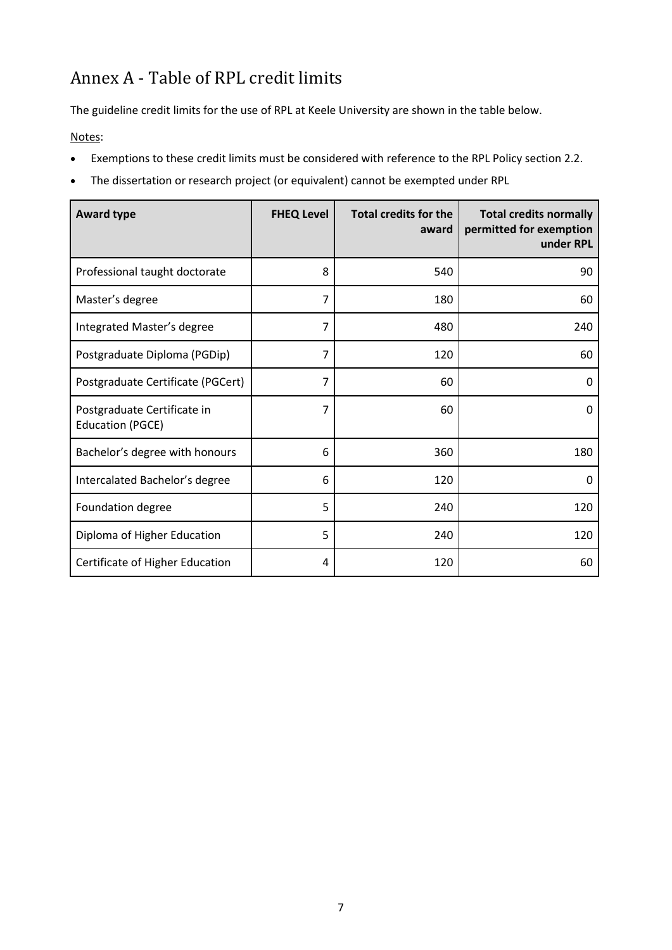# Annex A - Table of RPL credit limits

The guideline credit limits for the use of RPL at Keele University are shown in the table below.

Notes:

- Exemptions to these credit limits must be considered with reference to the RPL Policy section 2.2.
- The dissertation or research project (or equivalent) cannot be exempted under RPL

| <b>Award type</b>                                      | <b>FHEQ Level</b> | <b>Total credits for the</b><br>award | <b>Total credits normally</b><br>permitted for exemption<br>under RPL |
|--------------------------------------------------------|-------------------|---------------------------------------|-----------------------------------------------------------------------|
| Professional taught doctorate                          | 8                 | 540                                   | 90                                                                    |
| Master's degree                                        | $\overline{7}$    | 180                                   | 60                                                                    |
| Integrated Master's degree                             | 7                 | 480                                   | 240                                                                   |
| Postgraduate Diploma (PGDip)                           | 7                 | 120                                   | 60                                                                    |
| Postgraduate Certificate (PGCert)                      | $\overline{7}$    | 60                                    | 0                                                                     |
| Postgraduate Certificate in<br><b>Education (PGCE)</b> | 7                 | 60                                    | 0                                                                     |
| Bachelor's degree with honours                         | 6                 | 360                                   | 180                                                                   |
| Intercalated Bachelor's degree                         | 6                 | 120                                   | 0                                                                     |
| Foundation degree                                      | 5                 | 240                                   | 120                                                                   |
| Diploma of Higher Education                            | 5                 | 240                                   | 120                                                                   |
| Certificate of Higher Education                        | 4                 | 120                                   | 60                                                                    |